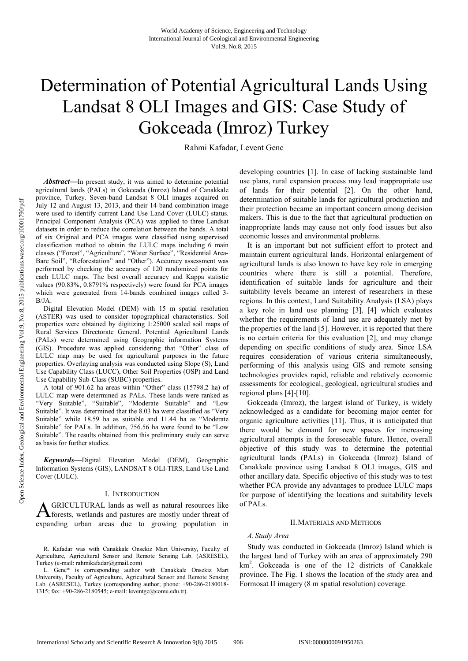# Determination of Potential Agricultural Lands Using Landsat 8 OLI Images and GIS: Case Study of Gokceada (Imroz) Turkey

Rahmi Kafadar, Levent Genc

*Abstract***—**In present study, it was aimed to determine potential agricultural lands (PALs) in Gokceada (Imroz) Island of Canakkale province, Turkey. Seven-band Landsat 8 OLI images acquired on July 12 and August 13, 2013, and their 14-band combination image were used to identify current Land Use Land Cover (LULC) status. Principal Component Analysis (PCA) was applied to three Landsat datasets in order to reduce the correlation between the bands. A total of six Original and PCA images were classified using supervised classification method to obtain the LULC maps including 6 main classes ("Forest", "Agriculture", "Water Surface", "Residential Area-Bare Soil", "Reforestation" and "Other"). Accuracy assessment was performed by checking the accuracy of 120 randomized points for each LULC maps. The best overall accuracy and Kappa statistic values (90.83%, 0.8791% respectively) were found for PCA images which were generated from 14-bands combined images called 3-  $R/IA$ 

Digital Elevation Model (DEM) with 15 m spatial resolution (ASTER) was used to consider topographical characteristics. Soil properties were obtained by digitizing 1:25000 scaled soil maps of Rural Services Directorate General. Potential Agricultural Lands (PALs) were determined using Geographic information Systems (GIS). Procedure was applied considering that "Other" class of LULC map may be used for agricultural purposes in the future properties. Overlaying analysis was conducted using Slope (S), Land Use Capability Class (LUCC), Other Soil Properties (OSP) and Land Use Capability Sub-Class (SUBC) properties.

A total of 901.62 ha areas within "Other" class (15798.2 ha) of LULC map were determined as PALs. These lands were ranked as "Very Suitable", "Suitable", "Moderate Suitable" and "Low Suitable". It was determined that the 8.03 ha were classified as "Very Suitable" while 18.59 ha as suitable and 11.44 ha as "Moderate Suitable" for PALs. In addition, 756.56 ha were found to be "Low Suitable". The results obtained from this preliminary study can serve as basis for further studies.

*Keywords***—**Digital Elevation Model (DEM), Geographic Information Systems (GIS), LANDSAT 8 OLI-TIRS, Land Use Land Cover (LULC).

# I. INTRODUCTION

GRICULTURAL lands as well as natural resources like **A** GRICULTURAL lands as well as natural resources like<br>forests, wetlands and pastures are mostly under threat of expanding urban areas due to growing population in

R. Kafadar was with Canakkale Onsekiz Mart University, Faculty of Agriculture, Agricultural Sensor and Remote Sensing Lab. (ASRESEL), Turkey (e-mail: rahmikafadar@gmail.com)

L. Genc\* is corresponding author with Canakkale Onsekiz Mart University, Faculty of Agriculture, Agricultural Sensor and Remote Sensing Lab. (ASRESEL), Turkey (corresponding author; phone: +90-286-2180018- 1315; fax: +90-286-2180545; e-mail: leventgc@comu.edu.tr).

developing countries [1]. In case of lacking sustainable land use plans, rural expansion process may lead inappropriate use of lands for their potential [2]. On the other hand, determination of suitable lands for agricultural production and their protection became an important concern among decision makers. This is due to the fact that agricultural production on inappropriate lands may cause not only food issues but also economic losses and environmental problems.

It is an important but not sufficient effort to protect and maintain current agricultural lands. Horizontal enlargement of agricultural lands is also known to have key role in emerging countries where there is still a potential. Therefore, identification of suitable lands for agriculture and their suitability levels became an interest of researchers in these regions. In this context, Land Suitability Analysis (LSA) plays a key role in land use planning [3], [4] which evaluates whether the requirements of land use are adequately met by the properties of the land [5]. However, it is reported that there is no certain criteria for this evaluation [2], and may change depending on specific conditions of study area. Since LSA requires consideration of various criteria simultaneously, performing of this analysis using GIS and remote sensing technologies provides rapid, reliable and relatively economic assessments for ecological, geological, agricultural studies and regional plans [4]-[10].

Gokceada (Imroz), the largest island of Turkey, is widely acknowledged as a candidate for becoming major center for organic agriculture activities [11]. Thus, it is anticipated that there would be demand for new spaces for increasing agricultural attempts in the foreseeable future. Hence, overall objective of this study was to determine the potential agricultural lands (PALs) in Gokceada (Imroz) Island of Canakkale province using Landsat 8 OLI images, GIS and other ancillary data. Specific objective of this study was to test whether PCA provide any advantages to produce LULC maps for purpose of identifying the locations and suitability levels of PALs.

## II.MATERIALS AND METHODS

# *A. Study Area*

Study was conducted in Gokceada (Imroz) Island which is the largest land of Turkey with an area of approximately 290 km<sup>2</sup>. Gokceada is one of the 12 districts of Canakkale province. The Fig. 1 shows the location of the study area and Formosat II imagery (8 m spatial resolution) coverage.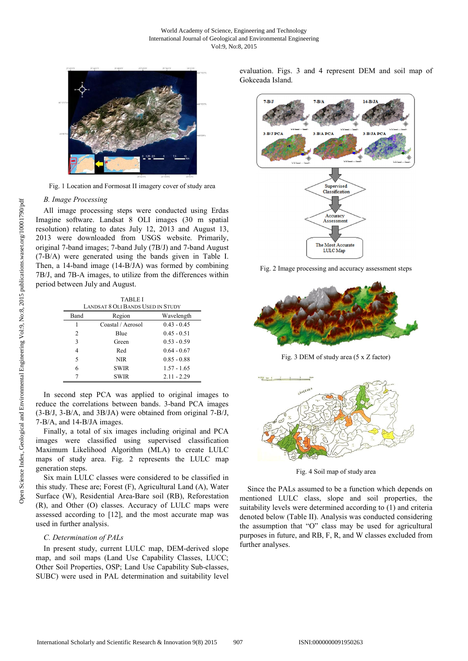

Fig. 1 Location and Formosat II imagery cover of study area

#### *B. Image Processing*

All image processing steps were conducted using Erdas Imagine software. Landsat 8 OLI images (30 m spatial resolution) relating to dates July 12, 2013 and August 13, 2013 were downloaded from USGS website. Primarily, original 7-band images; 7-band July (7B/J) and 7-band August (7-B/A) were generated using the bands given in Table I. Then, a 14-band image (14-B/JA) was formed by combining 7B/J, and 7B-A images, to utilize from the differences within period between July and August.

TABLE I

| <b>LANDSAT 8 OLI BANDS USED IN STUDY</b> |                   |               |  |  |  |
|------------------------------------------|-------------------|---------------|--|--|--|
| Band                                     | Region            | Wavelength    |  |  |  |
|                                          | Coastal / Aerosol | $0.43 - 0.45$ |  |  |  |
| $\overline{c}$                           | Blue              | $0.45 - 0.51$ |  |  |  |
| 3                                        | Green             | $0.53 - 0.59$ |  |  |  |
| 4                                        | Red               | $0.64 - 0.67$ |  |  |  |
| 5                                        | NIR.              | $0.85 - 0.88$ |  |  |  |
| 6                                        | <b>SWIR</b>       | $1.57 - 1.65$ |  |  |  |
|                                          | <b>SWIR</b>       | $2.11 - 2.29$ |  |  |  |

In second step PCA was applied to original images to reduce the correlations between bands. 3-band PCA images (3-B/J, 3-B/A, and 3B/JA) were obtained from original 7-B/J, 7-B/A, and 14-B/JA images.

Finally, a total of six images including original and PCA images were classified using supervised classification Maximum Likelihood Algorithm (MLA) to create LULC maps of study area. Fig. 2 represents the LULC map generation steps.

Six main LULC classes were considered to be classified in this study. These are; Forest (F), Agricultural Land (A), Water Surface (W), Residential Area-Bare soil (RB), Reforestation (R), and Other (O) classes. Accuracy of LULC maps were assessed according to [12], and the most accurate map was used in further analysis.

# *C. Determination of PALs*

In present study, current LULC map, DEM-derived slope map, and soil maps (Land Use Capability Classes, LUCC; Other Soil Properties, OSP; Land Use Capability Sub-classes, SUBC) were used in PAL determination and suitability level evaluation. Figs. 3 and 4 represent DEM and soil map of Gokceada Island.



Fig. 2 Image processing and accuracy assessment steps



Fig. 3 DEM of study area (5 x Z factor)



Fig. 4 Soil map of study area

Since the PALs assumed to be a function which depends on mentioned LULC class, slope and soil properties, the suitability levels were determined according to (1) and criteria denoted below (Table II). Analysis was conducted considering the assumption that "O" class may be used for agricultural purposes in future, and RB, F, R, and W classes excluded from further analyses.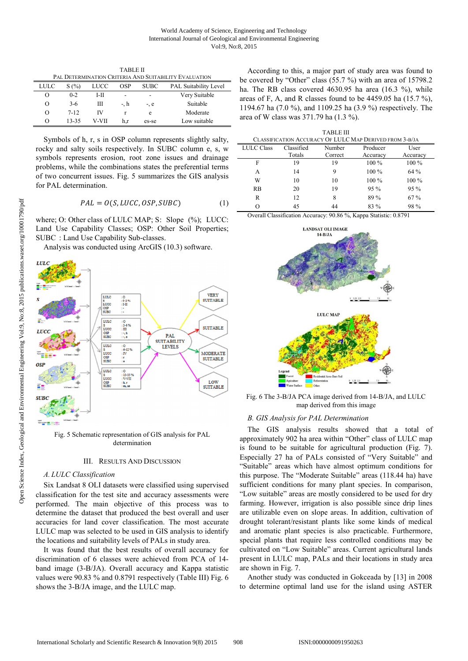TABLE II **DAL DETERMINATION CRITERIA AND SUIT** 

| 1716 DETERMIN RITUAL CRITERIA I 190 00117101611 TE HIEVATIVA |          |       |            |             |                              |  |  |  |
|--------------------------------------------------------------|----------|-------|------------|-------------|------------------------------|--|--|--|
| LULC                                                         | S(%)     | LUCC  | <b>OSP</b> | <b>SUBC</b> | <b>PAL Suitability Level</b> |  |  |  |
| O                                                            | $0 - 2$  | I-H   | -          | ۰           | Very Suitable                |  |  |  |
| О                                                            | $3-6$    | Ш     | -. h       | $-$ . $e$   | Suitable                     |  |  |  |
| O                                                            | $7 - 12$ | ΙV    |            | e           | Moderate                     |  |  |  |
| $\theta$                                                     | 13-35    | V-VII | h.r        | es-se       | Low suitable                 |  |  |  |

Symbols of h, r, s in OSP column represents slightly salty, rocky and salty soils respectively. In SUBC column e, s, w symbols represents erosion, root zone issues and drainage problems, while the combinations states the preferential terms of two concurrent issues. Fig. 5 summarizes the GIS analysis for PAL determination.

$$
PAL = O(S, LUCC, OSP, SUBC)
$$
 (1)

where; O: Other class of LULC MAP; S: Slope  $(\%)$ ; LUCC: Land Use Capability Classes; OSP: Other Soil Properties; SUBC : Land Use Capability Sub-classes.

Analysis was conducted using ArcGIS (10.3) software.



Fig. 5 Schematic representation of GIS analysis for PAL determination

# III. RESULTS AND DISCUSSION

#### *A. LULC Classification*

Six Landsat 8 OLI datasets were classified using supervised classification for the test site and accuracy assessments were performed. The main objective of this process was to determine the dataset that produced the best overall and user accuracies for land cover classification. The most accurate LULC map was selected to be used in GIS analysis to identify the locations and suitability levels of PALs in study area.

It was found that the best results of overall accuracy for discrimination of 6 classes were achieved from PCA of 14 band image (3-B/JA). Overall accuracy and Kappa statistic values were 90.83 % and 0.8791 respectively (Table III) Fig. 6 shows the 3-B/JA image, and the LULC map.

According to this, a major part of study area was found to be covered by "Other" class (55.7 %) with an area of 15798.2 ha. The RB class covered 4630.95 ha area (16.3 %), while areas of F, A, and R classes found to be 4459.05 ha (15.7 %), 1194.67 ha (7.0 %), and 1109.25 ha (3.9 %) respectively. The area of W class was 371.79 ha (1.3 %).

| <b>TABLE III</b>                                        |            |         |          |          |  |  |  |  |
|---------------------------------------------------------|------------|---------|----------|----------|--|--|--|--|
| CLASSIFICATION ACCURACY OF LULC MAP DERIVED FROM 3-B/JA |            |         |          |          |  |  |  |  |
| <b>LULC Class</b>                                       | Classified | Number  | Producer | User     |  |  |  |  |
|                                                         | Totals     | Correct | Accuracy | Accuracy |  |  |  |  |
| F                                                       | 19         | 19      | 100 %    | $100\%$  |  |  |  |  |
| А                                                       | 14         | 9       | $100\%$  | 64 %     |  |  |  |  |
| W                                                       | 10         | 10      | $100\%$  | $100\%$  |  |  |  |  |
| <b>RB</b>                                               | 20         | 19      | $95\%$   | $95\%$   |  |  |  |  |
| R                                                       | 12         | 8       | 89 %     | 67 %     |  |  |  |  |
| Ω                                                       | 45         | 44      | 83 %     | 98 %     |  |  |  |  |

Overall Classification Accuracy: 90.86 %, Kappa Statistic: 0.8791



Fig. 6 The 3-B/JA PCA image derived from 14-B/JA, and LULC map derived from this image

## *B. GIS Analysis for PAL Determination*

The GIS analysis results showed that a total of approximately 902 ha area within "Other" class of LULC map is found to be suitable for agricultural production (Fig. 7). Especially 27 ha of PALs consisted of "Very Suitable" and "Suitable" areas which have almost optimum conditions for this purpose. The "Moderate Suitable" areas (118.44 ha) have sufficient conditions for many plant species. In comparison, "Low suitable" areas are mostly considered to be used for dry farming. However, irrigation is also possible since drip lines are utilizable even on slope areas. In addition, cultivation of drought tolerant/resistant plants like some kinds of medical and aromatic plant species is also practicable. Furthermore, special plants that require less controlled conditions may be cultivated on "Low Suitable" areas. Current agricultural lands present in LULC map, PALs and their locations in study area are shown in Fig. 7.

Another study was conducted in Gokceada by [13] in 2008 to determine optimal land use for the island using ASTER